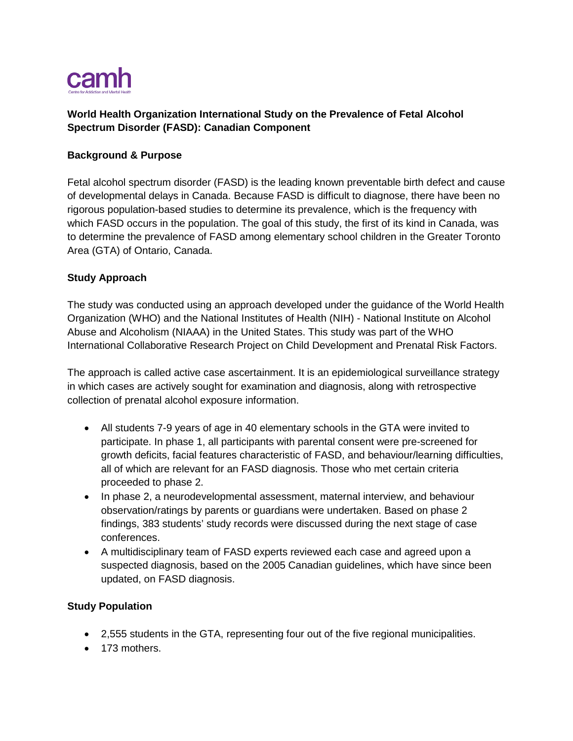

# **World Health Organization International Study on the Prevalence of Fetal Alcohol Spectrum Disorder (FASD): Canadian Component**

#### **Background & Purpose**

Fetal alcohol spectrum disorder (FASD) is the leading known preventable birth defect and cause of developmental delays in Canada. Because FASD is difficult to diagnose, there have been no rigorous population-based studies to determine its prevalence, which is the frequency with which FASD occurs in the population. The goal of this study, the first of its kind in Canada, was to determine the prevalence of FASD among elementary school children in the Greater Toronto Area (GTA) of Ontario, Canada.

#### **Study Approach**

The study was conducted using an approach developed under the guidance of the World Health Organization (WHO) and the National Institutes of Health (NIH) - National Institute on Alcohol Abuse and Alcoholism (NIAAA) in the United States. This study was part of the WHO International Collaborative Research Project on Child Development and Prenatal Risk Factors.

The approach is called active case ascertainment. It is an epidemiological surveillance strategy in which cases are actively sought for examination and diagnosis, along with retrospective collection of prenatal alcohol exposure information.

- All students 7-9 years of age in 40 elementary schools in the GTA were invited to participate. In phase 1, all participants with parental consent were pre-screened for growth deficits, facial features characteristic of FASD, and behaviour/learning difficulties, all of which are relevant for an FASD diagnosis. Those who met certain criteria proceeded to phase 2.
- In phase 2, a neurodevelopmental assessment, maternal interview, and behaviour observation/ratings by parents or guardians were undertaken. Based on phase 2 findings, 383 students' study records were discussed during the next stage of case conferences.
- A multidisciplinary team of FASD experts reviewed each case and agreed upon a suspected diagnosis, based on the 2005 Canadian guidelines, which have since been updated, on FASD diagnosis.

#### **Study Population**

- 2,555 students in the GTA, representing four out of the five regional municipalities.
- 173 mothers.